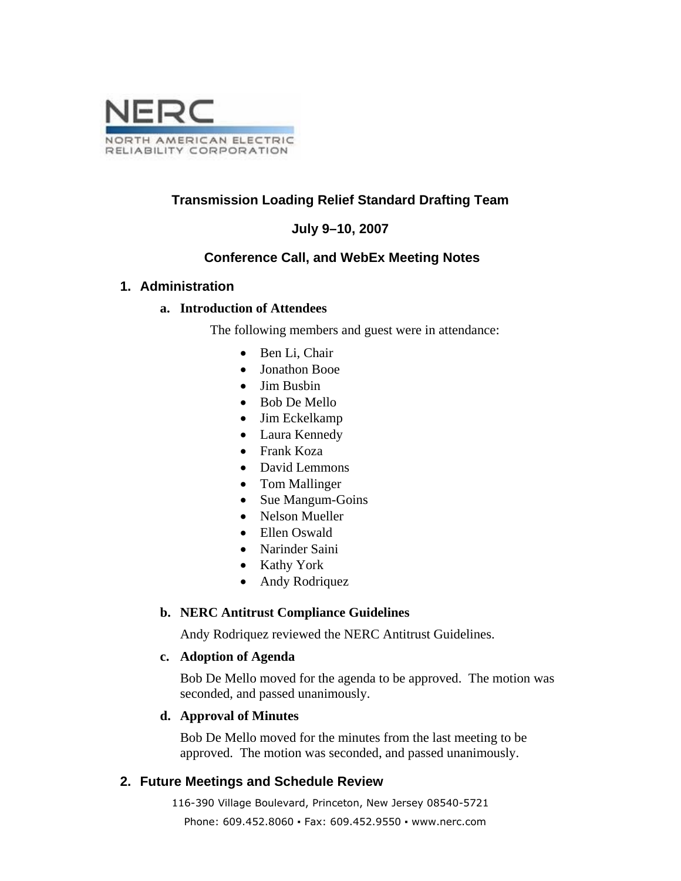

# **Transmission Loading Relief Standard Drafting Team**

# **July 9–10, 2007**

## **Conference Call, and WebEx Meeting Notes**

### **1. Administration**

### **a. Introduction of Attendees**

The following members and guest were in attendance:

- Ben Li, Chair
- Jonathon Booe
- Jim Busbin
- Bob De Mello
- Jim Eckelkamp
- Laura Kennedy
- Frank Koza
- David Lemmons
- Tom Mallinger
- Sue Mangum-Goins
- Nelson Mueller
- Ellen Oswald
- Narinder Saini
- Kathy York
- Andy Rodriquez

#### **b. NERC Antitrust Compliance Guidelines**

Andy Rodriquez reviewed the NERC Antitrust Guidelines.

#### **c. Adoption of Agenda**

Bob De Mello moved for the agenda to be approved. The motion was seconded, and passed unanimously.

#### **d. Approval of Minutes**

Bob De Mello moved for the minutes from the last meeting to be approved. The motion was seconded, and passed unanimously.

## **2. Future Meetings and Schedule Review**

116-390 Village Boulevard, Princeton, New Jersey 08540-5721

Phone: 609.452.8060 ▪ Fax: 609.452.9550 ▪ www.nerc.com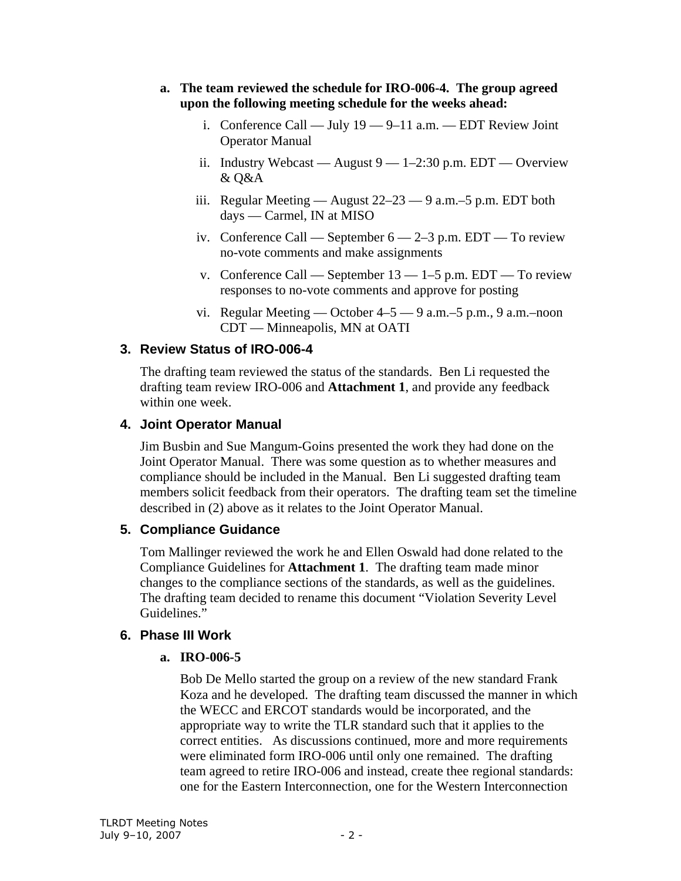- **a. The team reviewed the schedule for IRO-006-4. The group agreed upon the following meeting schedule for the weeks ahead:** 
	- i. Conference Call July 19 9–11 a.m. EDT Review Joint Operator Manual
	- ii. Industry Webcast August  $9 1 2:30$  p.m. EDT Overview & Q&A
	- iii. Regular Meeting August 22–23 9 a.m.–5 p.m. EDT both days — Carmel, IN at MISO
	- iv. Conference Call September  $6 2 3$  p.m. EDT To review no-vote comments and make assignments
	- v. Conference Call September  $13 1 5$  p.m. EDT To review responses to no-vote comments and approve for posting
	- vi. Regular Meeting October 4–5 9 a.m.–5 p.m., 9 a.m.–noon CDT — Minneapolis, MN at OATI

# **3. Review Status of IRO-006-4**

The drafting team reviewed the status of the standards. Ben Li requested the drafting team review IRO-006 and **Attachment 1**, and provide any feedback within one week.

# **4. Joint Operator Manual**

Jim Busbin and Sue Mangum-Goins presented the work they had done on the Joint Operator Manual. There was some question as to whether measures and compliance should be included in the Manual. Ben Li suggested drafting team members solicit feedback from their operators. The drafting team set the timeline described in (2) above as it relates to the Joint Operator Manual.

## **5. Compliance Guidance**

Tom Mallinger reviewed the work he and Ellen Oswald had done related to the Compliance Guidelines for **Attachment 1**. The drafting team made minor changes to the compliance sections of the standards, as well as the guidelines. The drafting team decided to rename this document "Violation Severity Level Guidelines."

# **6. Phase III Work**

# **a. IRO-006-5**

Bob De Mello started the group on a review of the new standard Frank Koza and he developed. The drafting team discussed the manner in which the WECC and ERCOT standards would be incorporated, and the appropriate way to write the TLR standard such that it applies to the correct entities. As discussions continued, more and more requirements were eliminated form IRO-006 until only one remained. The drafting team agreed to retire IRO-006 and instead, create thee regional standards: one for the Eastern Interconnection, one for the Western Interconnection